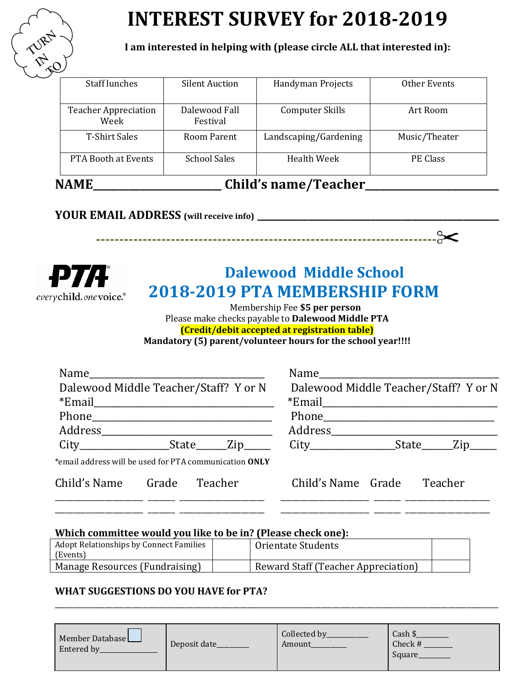

# **INTEREST SURVEY for 2018-2019**

**I am interested in helping with (please circle ALL that interested in):**

| $\mathcal{C}$ and $\mathcal{V}$ are a sense in $\mathcal{T}$ and $\mathcal{S}$ are a sense in $\mathcal{S}$<br>I A RÆT |                           |                        |               |  |
|------------------------------------------------------------------------------------------------------------------------|---------------------------|------------------------|---------------|--|
| <b>PTA Booth at Events</b>                                                                                             | <b>School Sales</b>       | Health Week            | PE Class      |  |
| <b>T-Shirt Sales</b>                                                                                                   | Room Parent               | Landscaping/Gardening  | Music/Theater |  |
| <b>Teacher Appreciation</b><br>Week                                                                                    | Dalewood Fall<br>Festival | <b>Computer Skills</b> | Art Room      |  |
| <b>Staff lunches</b>                                                                                                   | <b>Silent Auction</b>     | Handyman Projects      | Other Events  |  |

# NAME\_\_\_\_\_\_\_\_\_\_\_\_\_\_\_\_\_\_\_\_\_\_\_\_\_\_ Child's name/Teacher\_\_\_\_\_\_\_\_\_\_\_\_\_\_\_\_\_\_\_\_\_\_\_\_\_\_\_\_\_\_

# **YOUR EMAIL ADDRESS (will receive info) \_\_\_\_\_\_\_\_\_\_\_\_\_\_\_\_\_\_\_\_\_\_\_\_\_\_\_\_\_\_\_\_\_\_\_\_\_\_\_\_\_\_\_\_\_\_\_**

everychild.onevoice.®

# **Dalewood Middle School 2018-2019 PTA MEMBERSHIP FORM**

**-------------------------------------------------------------------------**

 Membership Fee **\$5 per person** Please make checks payable to **Dalewood Middle PTA (Credit/debit accepted at registration table) Mandatory (5) parent/volunteer hours for the school year!!!!**

| Name                                                                                                |                                       |
|-----------------------------------------------------------------------------------------------------|---------------------------------------|
| Dalewood Middle Teacher/Staff? Y or N                                                               | Dalewood Middle Teacher/Staff? Y or N |
|                                                                                                     |                                       |
|                                                                                                     |                                       |
|                                                                                                     |                                       |
| City______________________State_______Zip____________City_____________________State_______Zip______ |                                       |
| *email address will be used for PTA communication ONLY                                              |                                       |
| Child's Name Grade Teacher                                                                          | Child's Name Grade<br>Teacher         |

\_\_\_\_\_\_\_\_\_\_\_\_\_\_\_\_\_\_\_\_\_\_\_ \_\_\_\_\_\_\_ \_\_\_\_\_\_\_\_\_\_\_\_\_\_\_\_\_\_\_\_\_\_ \_\_\_\_\_\_\_\_\_\_\_\_\_\_\_\_\_\_\_\_\_\_\_ \_\_\_\_\_\_\_ \_\_\_\_\_\_\_\_\_\_\_\_\_\_\_\_\_\_\_\_\_\_ \_\_\_\_\_\_\_\_\_\_\_\_\_\_\_\_\_\_\_\_\_\_\_ \_\_\_\_\_\_\_ \_\_\_\_\_\_\_\_\_\_\_\_\_\_\_\_\_\_\_\_\_\_ \_\_\_\_\_\_\_\_\_\_\_\_\_\_\_\_\_\_\_\_\_\_\_ \_\_\_\_\_\_\_ \_\_\_\_\_\_\_\_\_\_\_\_\_\_\_\_\_\_\_\_\_\_

# **Which committee would you like to be in? (Please check one):**

| <b>Adopt Relationships by Connect Families</b><br>(Events) | Orientate Students                  |  |
|------------------------------------------------------------|-------------------------------------|--|
| Manage Resources (Fundraising)                             | Reward Staff (Teacher Appreciation) |  |

# **WHAT SUGGESTIONS DO YOU HAVE for PTA?**

| Member Database<br>Entered by | Deposit date_ | Collected by<br>Amount | Cash \$<br>Check #<br>Square |
|-------------------------------|---------------|------------------------|------------------------------|
|-------------------------------|---------------|------------------------|------------------------------|

\_\_\_\_\_\_\_\_\_\_\_\_\_\_\_\_\_\_\_\_\_\_\_\_\_\_\_\_\_\_\_\_\_\_\_\_\_\_\_\_\_\_\_\_\_\_\_\_\_\_\_\_\_\_\_\_\_\_\_\_\_\_\_\_\_\_\_\_\_\_\_\_\_\_\_\_\_\_\_\_\_\_\_\_\_\_\_\_\_\_\_\_\_\_\_\_\_\_\_\_\_\_\_\_\_\_\_\_\_\_\_\_\_\_\_